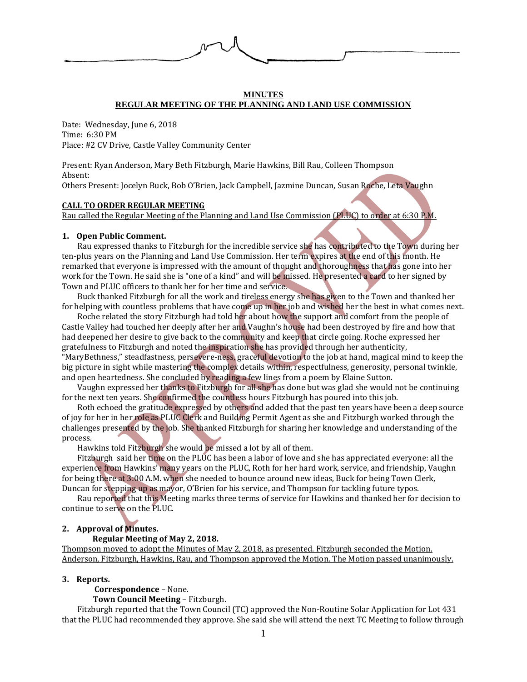

# **MINUTES REGULAR MEETING OF THE PLANNING AND LAND USE COMMISSION**

Date: Wednesday, June 6, 2018 Time: 6:30 PM Place: #2 CV Drive, Castle Valley Community Center

Present: Ryan Anderson, Mary Beth Fitzburgh, Marie Hawkins, Bill Rau, Colleen Thompson Absent:

Others Present: Jocelyn Buck, Bob O'Brien, Jack Campbell, Jazmine Duncan, Susan Roche, Leta Vaughn

### **CALL TO ORDER REGULAR MEETING**

Rau called the Regular Meeting of the Planning and Land Use Commission (PLUC) to order at 6:30 P.M.

### **1. Open Public Comment.**

Rau expressed thanks to Fitzburgh for the incredible service she has contributed to the Town during her ten-plus years on the Planning and Land Use Commission. Her term expires at the end of this month. He remarked that everyone is impressed with the amount of thought and thoroughness that has gone into her work for the Town. He said she is "one of a kind" and will be missed. He presented a card to her signed by Town and PLUC officers to thank her for her time and service.

Buck thanked Fitzburgh for all the work and tireless energy she has given to the Town and thanked her for helping with countless problems that have come up in her job and wished her the best in what comes next.

Roche related the story Fitzburgh had told her about how the support and comfort from the people of Castle Valley had touched her deeply after her and Vaughn's house had been destroyed by fire and how that had deepened her desire to give back to the community and keep that circle going. Roche expressed her gratefulness to Fitzburgh and noted the inspiration she has provided through her authenticity, "MaryBethness," steadfastness, persevere-ness, graceful devotion to the job at hand, magical mind to keep the big picture in sight while mastering the complex details within, respectfulness, generosity, personal twinkle, and open heartedness. She concluded by reading a few lines from a poem by Elaine Sutton.

Vaughn expressed her thanks to Fitzburgh for all she has done but was glad she would not be continuing for the next ten years. She confirmed the countless hours Fitzburgh has poured into this job.

Roth echoed the gratitude expressed by others and added that the past ten years have been a deep source of joy for her in her role as PLUC Clerk and Building Permit Agent as she and Fitzburgh worked through the challenges presented by the job. She thanked Fitzburgh for sharing her knowledge and understanding of the process.

Hawkins told Fitzburgh she would be missed a lot by all of them.

Fitzburgh said her time on the PLUC has been a labor of love and she has appreciated everyone: all the experience from Hawkins' many years on the PLUC, Roth for her hard work, service, and friendship, Vaughn for being there at 3:00 A.M. when she needed to bounce around new ideas, Buck for being Town Clerk, Duncan for stepping up as mayor, O'Brien for his service, and Thompson for tackling future typos.

Rau reported that this Meeting marks three terms of service for Hawkins and thanked her for decision to continue to serve on the PLUC.

### **2. Approval of Minutes.**

## **Regular Meeting of May 2, 2018.**

Thompson moved to adopt the Minutes of May 2, 2018, as presented. Fitzburgh seconded the Motion. Anderson, Fitzburgh, Hawkins, Rau, and Thompson approved the Motion. The Motion passed unanimously.

## **3. Reports.**

 **Correspondence** – None.

**Town Council Meeting** – Fitzburgh.

Fitzburgh reported that the Town Council (TC) approved the Non-Routine Solar Application for Lot 431 that the PLUC had recommended they approve. She said she will attend the next TC Meeting to follow through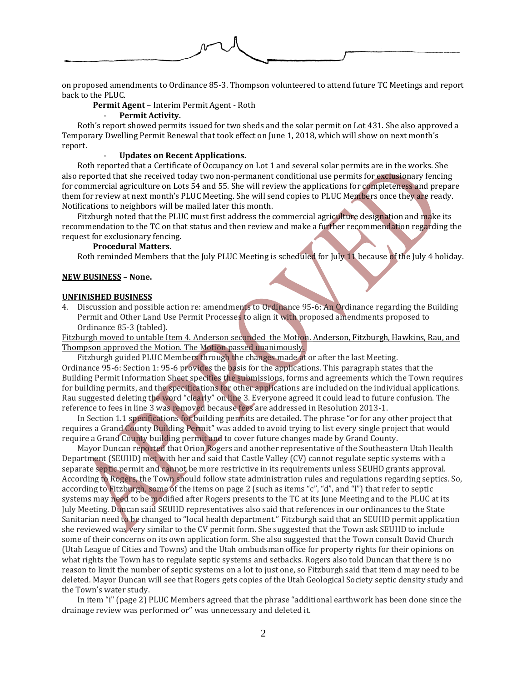

on proposed amendments to Ordinance 85-3. Thompson volunteered to attend future TC Meetings and report back to the PLUC.

**Permit Agent** – Interim Permit Agent - Roth

#### - **Permit Activity.**

Roth's report showed permits issued for two sheds and the solar permit on Lot 431. She also approved a Temporary Dwelling Permit Renewal that took effect on June 1, 2018, which will show on next month's report.

## - **Updates on Recent Applications.**

Roth reported that a Certificate of Occupancy on Lot 1 and several solar permits are in the works. She also reported that she received today two non-permanent conditional use permits for exclusionary fencing for commercial agriculture on Lots 54 and 55. She will review the applications for completeness and prepare them for review at next month's PLUC Meeting. She will send copies to PLUC Members once they are ready. Notifications to neighbors will be mailed later this month.

Fitzburgh noted that the PLUC must first address the commercial agriculture designation and make its recommendation to the TC on that status and then review and make a further recommendation regarding the request for exclusionary fencing.

# **Procedural Matters.**

Roth reminded Members that the July PLUC Meeting is scheduled for July 11 because of the July 4 holiday.

#### **NEW BUSINESS – None.**

#### **UNFINISHED BUSINESS**

4. Discussion and possible action re: amendments to Ordinance 95-6: An Ordinance regarding the Building Permit and Other Land Use Permit Processes to align it with proposed amendments proposed to Ordinance 85-3 (tabled).

Fitzburgh moved to untable Item 4. Anderson seconded the Motion. Anderson, Fitzburgh, Hawkins, Rau, and Thompson approved the Motion. The Motion passed unanimously.

Fitzburgh guided PLUC Members through the changes made at or after the last Meeting. Ordinance 95-6: Section 1: 95-6 provides the basis for the applications. This paragraph states that the Building Permit Information Sheet specifies the submissions, forms and agreements which the Town requires for building permits, and the specifications for other applications are included on the individual applications. Rau suggested deleting the word "clearly" on line 3. Everyone agreed it could lead to future confusion. The reference to fees in line 3 was removed because fees are addressed in Resolution 2013-1.

In Section 1.1 specifications for building permits are detailed. The phrase "or for any other project that requires a Grand County Building Permit" was added to avoid trying to list every single project that would require a Grand County building permit and to cover future changes made by Grand County.

Mayor Duncan reported that Orion Rogers and another representative of the Southeastern Utah Health Department (SEUHD) met with her and said that Castle Valley (CV) cannot regulate septic systems with a separate septic permit and cannot be more restrictive in its requirements unless SEUHD grants approval. According to Rogers, the Town should follow state administration rules and regulations regarding septics. So, according to Fitzburgh, some of the items on page 2 (such as items "c", "d", and "l") that refer to septic systems may need to be modified after Rogers presents to the TC at its June Meeting and to the PLUC at its July Meeting. Duncan said SEUHD representatives also said that references in our ordinances to the State Sanitarian need to be changed to "local health department." Fitzburgh said that an SEUHD permit application she reviewed was very similar to the CV permit form. She suggested that the Town ask SEUHD to include some of their concerns on its own application form. She also suggested that the Town consult David Church (Utah League of Cities and Towns) and the Utah ombudsman office for property rights for their opinions on what rights the Town has to regulate septic systems and setbacks. Rogers also told Duncan that there is no reason to limit the number of septic systems on a lot to just one, so Fitzburgh said that item d may need to be deleted. Mayor Duncan will see that Rogers gets copies of the Utah Geological Society septic density study and the Town's water study.

In item "i" (page 2) PLUC Members agreed that the phrase "additional earthwork has been done since the drainage review was performed or" was unnecessary and deleted it.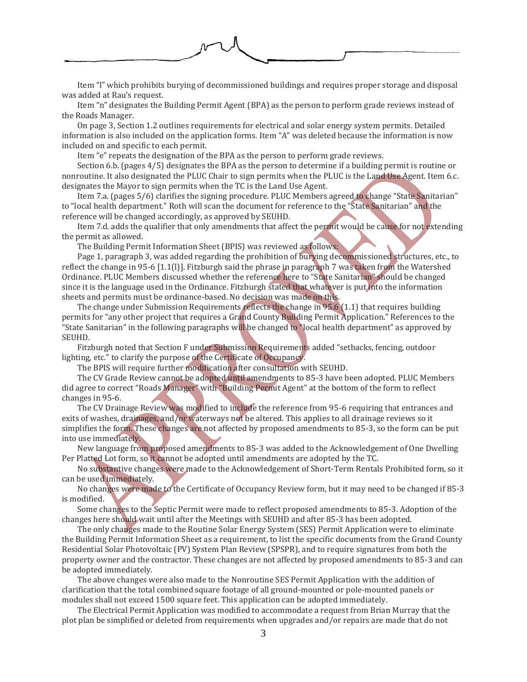

Item "l" which prohibits burying of decommissioned buildings and requires proper storage and disposal was added at Rau's request.

Item "n" designates the Building Permit Agent (BPA) as the person to perform grade reviews instead of the Roads Manager.

On page 3, Section 1.2 outlines requirements for electrical and solar energy system permits. Detailed information is also included on the application forms. Item "A" was deleted because the information is now included on and specific to each permit.

Item "e" repeats the designation of the BPA as the person to perform grade reviews.

Section 6.b. (pages 4/5) designates the BPA as the person to determine if a building permit is routine or nonroutine. It also designated the PLUC Chair to sign permits when the PLUC is the Land Use Agent. Item 6.c. designates the Mayor to sign permits when the TC is the Land Use Agent.

Item 7.a. (pages 5/6) clarifies the signing procedure. PLUC Members agreed to change "State Sanitarian" to "local health department." Roth will scan the document for reference to the "State Sanitarian" and the reference will be changed accordingly, as approved by SEUHD.

Item 7.d. adds the qualifier that only amendments that affect the permit would be cause for not extending the permit as allowed.

The Building Permit Information Sheet (BPIS) was reviewed as follows:

Page 1, paragraph 3, was added regarding the prohibition of burying decommissioned structures, etc., to reflect the change in 95-6 [1.1(l)]. Fitzburgh said the phrase in paragraph 7 was taken from the Watershed Ordinance. PLUC Members discussed whether the reference here to "State Sanitarian" should be changed since it is the language used in the Ordinance. Fitzburgh stated that whatever is put into the information sheets and permits must be ordinance-based. No decision was made on this.

The change under Submission Requirements reflects the change in  $95.6$  (1.1) that requires building permits for "any other project that requires a Grand County Building Permit Application." References to the "State Sanitarian" in the following paragraphs will be changed to "local health department" as approved by SEUHD.

Fitzburgh noted that Section F under Submission Requirements added "setbacks, fencing, outdoor lighting, etc." to clarify the purpose of the Certificate of Occupancy.

The BPIS will require further modification after consultation with SEUHD.

The CV Grade Review cannot be adopted until amendments to 85-3 have been adopted. PLUC Members did agree to correct "Roads Manager" with "Building Permit Agent" at the bottom of the form to reflect changes in 95-6.

The CV Drainage Review was modified to include the reference from 95-6 requiring that entrances and exits of washes, drainages, and/or waterways not be altered. This applies to all drainage reviews so it simplifies the form. These changes are not affected by proposed amendments to 85-3, so the form can be put into use immediately.

New language from proposed amendments to 85-3 was added to the Acknowledgement of One Dwelling Per Platted Lot form, so it cannot be adopted until amendments are adopted by the TC.

No substantive changes were made to the Acknowledgement of Short-Term Rentals Prohibited form, so it can be used immediately.

No changes were made to the Certificate of Occupancy Review form, but it may need to be changed if 85-3 is modified.

Some changes to the Septic Permit were made to reflect proposed amendments to 85-3. Adoption of the changes here should wait until after the Meetings with SEUHD and after 85-3 has been adopted.

The only changes made to the Routine Solar Energy System (SES) Permit Application were to eliminate the Building Permit Information Sheet as a requirement, to list the specific documents from the Grand County Residential Solar Photovoltaic (PV) System Plan Review (SPSPR), and to require signatures from both the property owner and the contractor. These changes are not affected by proposed amendments to 85-3 and can be adopted immediately.

The above changes were also made to the Nonroutine SES Permit Application with the addition of clarification that the total combined square footage of all ground-mounted or pole-mounted panels or modules shall not exceed 1500 square feet. This application can be adopted immediately.

The Electrical Permit Application was modified to accommodate a request from Brian Murray that the plot plan be simplified or deleted from requirements when upgrades and/or repairs are made that do not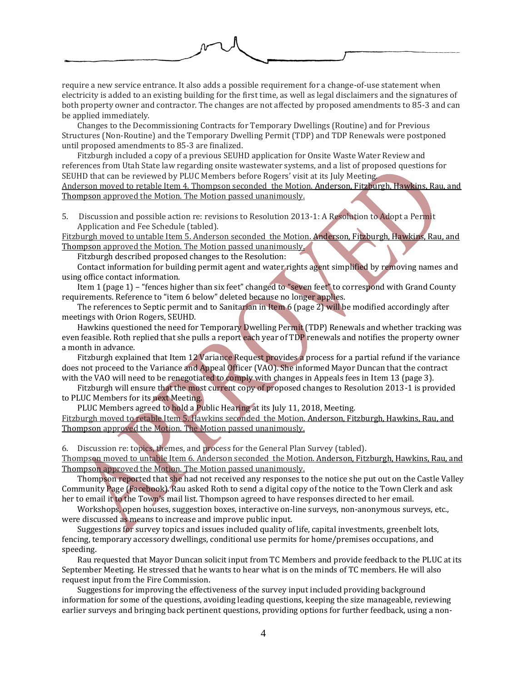

require a new service entrance. It also adds a possible requirement for a change-of-use statement when electricity is added to an existing building for the first time, as well as legal disclaimers and the signatures of both property owner and contractor. The changes are not affected by proposed amendments to 85-3 and can be applied immediately.

Changes to the Decommissioning Contracts for Temporary Dwellings (Routine) and for Previous Structures (Non-Routine) and the Temporary Dwelling Permit (TDP) and TDP Renewals were postponed until proposed amendments to 85-3 are finalized.

Fitzburgh included a copy of a previous SEUHD application for Onsite Waste Water Review and references from Utah State law regarding onsite wastewater systems, and a list of proposed questions for SEUHD that can be reviewed by PLUC Members before Rogers' visit at its July Meeting. Anderson moved to retable Item 4. Thompson seconded the Motion. Anderson, Fitzburgh, Hawkins, Rau, and Thompson approved the Motion. The Motion passed unanimously.

5. Discussion and possible action re: revisions to Resolution 2013-1: A Resolution to Adopt a Permit Application and Fee Schedule (tabled).

Fitzburgh moved to untable Item 5. Anderson seconded the Motion. Anderson, Fitzburgh, Hawkins, Rau, and Thompson approved the Motion. The Motion passed unanimously.

Fitzburgh described proposed changes to the Resolution:

Contact information for building permit agent and water rights agent simplified by removing names and using office contact information.

Item 1 (page 1) – "fences higher than six feet" changed to "seven feet" to correspond with Grand County requirements. Reference to "item 6 below" deleted because no longer applies.

The references to Septic permit and to Sanitarian in Item  $6$  (page 2) will be modified accordingly after meetings with Orion Rogers, SEUHD.

Hawkins questioned the need for Temporary Dwelling Permit (TDP) Renewals and whether tracking was even feasible. Roth replied that she pulls a report each year of TDP renewals and notifies the property owner a month in advance.

Fitzburgh explained that Item 12 Variance Request provides a process for a partial refund if the variance does not proceed to the Variance and Appeal Officer (VAO). She informed Mayor Duncan that the contract with the VAO will need to be renegotiated to comply with changes in Appeals fees in Item 13 (page 3).

Fitzburgh will ensure that the most current copy of proposed changes to Resolution 2013-1 is provided to PLUC Members for its next Meeting.

PLUC Members agreed to hold a Public Hearing at its July 11, 2018, Meeting.

Fitzburgh moved to retable Item 5. Hawkins seconded the Motion. Anderson, Fitzburgh, Hawkins, Rau, and Thompson approved the Motion. The Motion passed unanimously.

6. Discussion re: topics, themes, and process for the General Plan Survey (tabled).

Thompson moved to untable Item 6. Anderson seconded the Motion. Anderson, Fitzburgh, Hawkins, Rau, and Thompson approved the Motion. The Motion passed unanimously.

Thompson reported that she had not received any responses to the notice she put out on the Castle Valley Community Page (Facebook). Rau asked Roth to send a digital copy of the notice to the Town Clerk and ask her to email it to the Town's mail list. Thompson agreed to have responses directed to her email.

Workshops, open houses, suggestion boxes, interactive on-line surveys, non-anonymous surveys, etc., were discussed as means to increase and improve public input.

Suggestions for survey topics and issues included quality of life, capital investments, greenbelt lots, fencing, temporary accessory dwellings, conditional use permits for home/premises occupations, and speeding.

Rau requested that Mayor Duncan solicit input from TC Members and provide feedback to the PLUC at its September Meeting. He stressed that he wants to hear what is on the minds of TC members. He will also request input from the Fire Commission.

Suggestions for improving the effectiveness of the survey input included providing background information for some of the questions, avoiding leading questions, keeping the size manageable, reviewing earlier surveys and bringing back pertinent questions, providing options for further feedback, using a non-